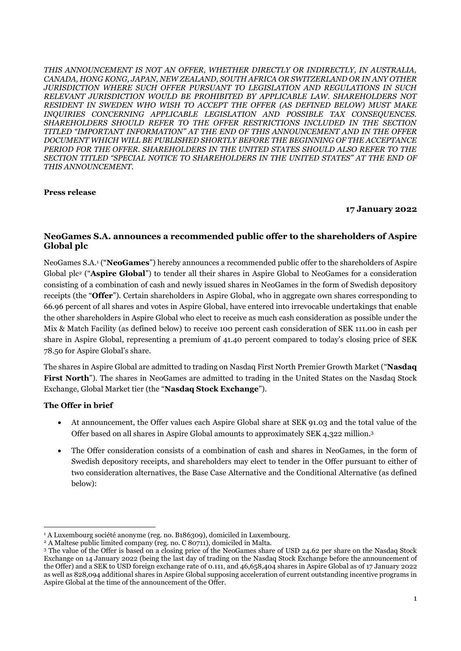*THIS ANNOUNCEMENT IS NOT AN OFFER, WHETHER DIRECTLY OR INDIRECTLY, IN AUSTRALIA, CANADA, HONG KONG, JAPAN, NEW ZEALAND, SOUTH AFRICA OR SWITZERLAND OR IN ANY OTHER JURISDICTION WHERE SUCH OFFER PURSUANT TO LEGISLATION AND REGULATIONS IN SUCH RELEVANT JURISDICTION WOULD BE PROHIBITED BY APPLICABLE LAW. SHAREHOLDERS NOT RESIDENT IN SWEDEN WHO WISH TO ACCEPT THE OFFER (AS DEFINED BELOW) MUST MAKE INQUIRIES CONCERNING APPLICABLE LEGISLATION AND POSSIBLE TAX CONSEQUENCES. SHAREHOLDERS SHOULD REFER TO THE OFFER RESTRICTIONS INCLUDED IN THE SECTION TITLED "IMPORTANT INFORMATION" AT THE END OF THIS ANNOUNCEMENT AND IN THE OFFER DOCUMENT WHICH WILL BE PUBLISHED SHORTLY BEFORE THE BEGINNING OF THE ACCEPTANCE PERIOD FOR THE OFFER. SHAREHOLDERS IN THE UNITED STATES SHOULD ALSO REFER TO THE SECTION TITLED "SPECIAL NOTICE TO SHAREHOLDERS IN THE UNITED STATES" AT THE END OF THIS ANNOUNCEMENT.*

#### **Press release**

#### **17 January 2022**

#### **NeoGames S.A. announces a recommended public offer to the shareholders of Aspire Global plc**

NeoGames S.A.<sup>1</sup> ("**NeoGames**") hereby announces a recommended public offer to the shareholders of Aspire Global plc<sup>2</sup> ("**Aspire Global**") to tender all their shares in Aspire Global to NeoGames for a consideration consisting of a combination of cash and newly issued shares in NeoGames in the form of Swedish depository receipts (the "**Offer**"). Certain shareholders in Aspire Global, who in aggregate own shares corresponding to 66.96 percent of all shares and votes in Aspire Global, have entered into irrevocable undertakings that enable the other shareholders in Aspire Global who elect to receive as much cash consideration as possible under the Mix & Match Facility (as defined below) to receive 100 percent cash consideration of SEK 111.00 in cash per share in Aspire Global, representing a premium of 41.40 percent compared to today's closing price of SEK 78.50 for Aspire Global's share.

The shares in Aspire Global are admitted to trading on Nasdaq First North Premier Growth Market ("**Nasdaq First North**"). The shares in NeoGames are admitted to trading in the United States on the Nasdaq Stock Exchange, Global Market tier (the "**Nasdaq Stock Exchange**").

#### **The Offer in brief**

-

- At announcement, the Offer values each Aspire Global share at SEK 91.03 and the total value of the Offer based on all shares in Aspire Global amounts to approximately SEK 4,322 million. 3
- The Offer consideration consists of a combination of cash and shares in NeoGames, in the form of Swedish depository receipts, and shareholders may elect to tender in the Offer pursuant to either of two consideration alternatives, the Base Case Alternative and the Conditional Alternative (as defined below):

<sup>&</sup>lt;sup>1</sup> A Luxembourg société anonyme (reg. no. B186309), domiciled in Luxembourg.

<sup>&</sup>lt;sup>2</sup> A Maltese public limited company (reg. no. C 80711), domiciled in Malta.

<sup>3</sup> The value of the Offer is based on a closing price of the NeoGames share of USD 24.62 per share on the Nasdaq Stock Exchange on 14 January 2022 (being the last day of trading on the Nasdaq Stock Exchange before the announcement of the Offer) and a SEK to USD foreign exchange rate of 0.111, and 46,658,404 shares in Aspire Global as of 17 January 2022 as well as 828,094 additional shares in Aspire Global supposing acceleration of current outstanding incentive programs in Aspire Global at the time of the announcement of the Offer.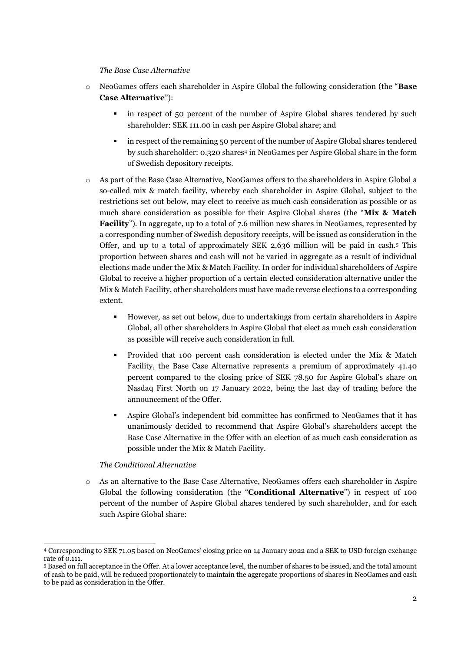#### *The Base Case Alternative*

- o NeoGames offers each shareholder in Aspire Global the following consideration (the "**Base Case Alternative**"):
	- in respect of 50 percent of the number of Aspire Global shares tendered by such shareholder: SEK 111.00 in cash per Aspire Global share; and
	- in respect of the remaining 50 percent of the number of Aspire Global shares tendered by such shareholder: 0.320 shares<sup>4</sup> in NeoGames per Aspire Global share in the form of Swedish depository receipts.
- o As part of the Base Case Alternative, NeoGames offers to the shareholders in Aspire Global a so-called mix & match facility, whereby each shareholder in Aspire Global, subject to the restrictions set out below, may elect to receive as much cash consideration as possible or as much share consideration as possible for their Aspire Global shares (the "**Mix & Match Facility**"). In aggregate, up to a total of 7.6 million new shares in NeoGames, represented by a corresponding number of Swedish depository receipts, will be issued as consideration in the Offer, and up to a total of approximately SEK 2,636 million will be paid in cash.<sup>5</sup> This proportion between shares and cash will not be varied in aggregate as a result of individual elections made under the Mix & Match Facility. In order for individual shareholders of Aspire Global to receive a higher proportion of a certain elected consideration alternative under the Mix & Match Facility, other shareholders must have made reverse elections to a corresponding extent.
	- However, as set out below, due to undertakings from certain shareholders in Aspire Global, all other shareholders in Aspire Global that elect as much cash consideration as possible will receive such consideration in full.
	- Provided that 100 percent cash consideration is elected under the Mix & Match Facility, the Base Case Alternative represents a premium of approximately 41.40 percent compared to the closing price of SEK 78.50 for Aspire Global's share on Nasdaq First North on 17 January 2022, being the last day of trading before the announcement of the Offer.
	- Aspire Global's independent bid committee has confirmed to NeoGames that it has unanimously decided to recommend that Aspire Global's shareholders accept the Base Case Alternative in the Offer with an election of as much cash consideration as possible under the Mix & Match Facility.

#### *The Conditional Alternative*

-

o As an alternative to the Base Case Alternative, NeoGames offers each shareholder in Aspire Global the following consideration (the "**Conditional Alternative**") in respect of 100 percent of the number of Aspire Global shares tendered by such shareholder, and for each such Aspire Global share:

<sup>4</sup> Corresponding to SEK 71.05 based on NeoGames' closing price on 14 January 2022 and a SEK to USD foreign exchange rate of 0.111.

<sup>5</sup> Based on full acceptance in the Offer. At a lower acceptance level, the number of shares to be issued, and the total amount of cash to be paid, will be reduced proportionately to maintain the aggregate proportions of shares in NeoGames and cash to be paid as consideration in the Offer.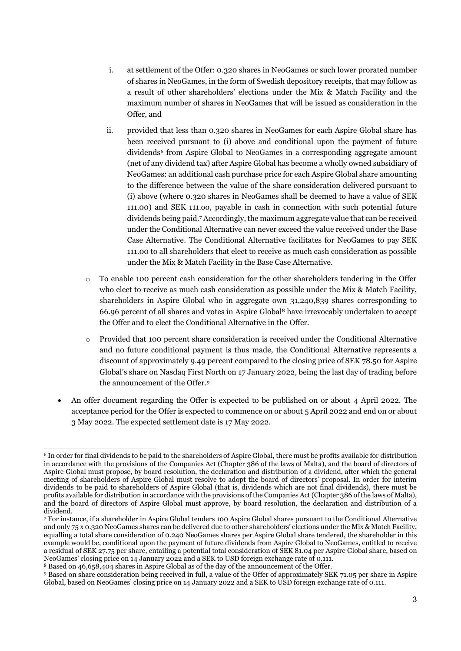- i. at settlement of the Offer: 0.320 shares in NeoGames or such lower prorated number of shares in NeoGames, in the form of Swedish depository receipts, that may follow as a result of other shareholders' elections under the Mix & Match Facility and the maximum number of shares in NeoGames that will be issued as consideration in the Offer, and
- ii. provided that less than 0.320 shares in NeoGames for each Aspire Global share has been received pursuant to (i) above and conditional upon the payment of future dividends<sup>6</sup> from Aspire Global to NeoGames in a corresponding aggregate amount (net of any dividend tax) after Aspire Global has become a wholly owned subsidiary of NeoGames: an additional cash purchase price for each Aspire Global share amounting to the difference between the value of the share consideration delivered pursuant to (i) above (where 0.320 shares in NeoGames shall be deemed to have a value of SEK 111.00) and SEK 111.oo, payable in cash in connection with such potential future dividends being paid. <sup>7</sup> Accordingly, the maximum aggregate value that can be received under the Conditional Alternative can never exceed the value received under the Base Case Alternative. The Conditional Alternative facilitates for NeoGames to pay SEK 111.00 to all shareholders that elect to receive as much cash consideration as possible under the Mix & Match Facility in the Base Case Alternative.
- o To enable 100 percent cash consideration for the other shareholders tendering in the Offer who elect to receive as much cash consideration as possible under the Mix & Match Facility, shareholders in Aspire Global who in aggregate own 31,240,839 shares corresponding to 66.96 percent of all shares and votes in Aspire Global<sup>8</sup> have irrevocably undertaken to accept the Offer and to elect the Conditional Alternative in the Offer.
- $\circ$  Provided that 100 percent share consideration is received under the Conditional Alternative and no future conditional payment is thus made, the Conditional Alternative represents a discount of approximately 9.49 percent compared to the closing price of SEK 78.50 for Aspire Global's share on Nasdaq First North on 17 January 2022, being the last day of trading before the announcement of the Offer. 9
- An offer document regarding the Offer is expected to be published on or about 4 April 2022. The acceptance period for the Offer is expected to commence on or about 5 April 2022 and end on or about 3 May 2022. The expected settlement date is 17 May 2022.

<sup>1</sup> <sup>6</sup> In order for final dividends to be paid to the shareholders of Aspire Global, there must be profits available for distribution in accordance with the provisions of the Companies Act (Chapter 386 of the laws of Malta), and the board of directors of Aspire Global must propose, by board resolution, the declaration and distribution of a dividend, after which the general meeting of shareholders of Aspire Global must resolve to adopt the board of directors' proposal. In order for interim dividends to be paid to shareholders of Aspire Global (that is, dividends which are not final dividends), there must be profits available for distribution in accordance with the provisions of the Companies Act (Chapter 386 of the laws of Malta), and the board of directors of Aspire Global must approve, by board resolution, the declaration and distribution of a dividend.

<sup>7</sup> For instance, if a shareholder in Aspire Global tenders 100 Aspire Global shares pursuant to the Conditional Alternative and only 75 x 0.320 NeoGames shares can be delivered due to other shareholders' elections under the Mix & Match Facility, equalling a total share consideration of 0.240 NeoGames shares per Aspire Global share tendered, the shareholder in this example would be, conditional upon the payment of future dividends from Aspire Global to NeoGames, entitled to receive a residual of SEK 27.75 per share, entailing a potential total consideration of SEK 81.04 per Aspire Global share, based on NeoGames' closing price on 14 January 2022 and a SEK to USD foreign exchange rate of 0.111.

<sup>8</sup> Based on 46,658,404 shares in Aspire Global as of the day of the announcement of the Offer.

<sup>9</sup> Based on share consideration being received in full, a value of the Offer of approximately SEK 71.05 per share in Aspire Global, based on NeoGames' closing price on 14 January 2022 and a SEK to USD foreign exchange rate of 0.111.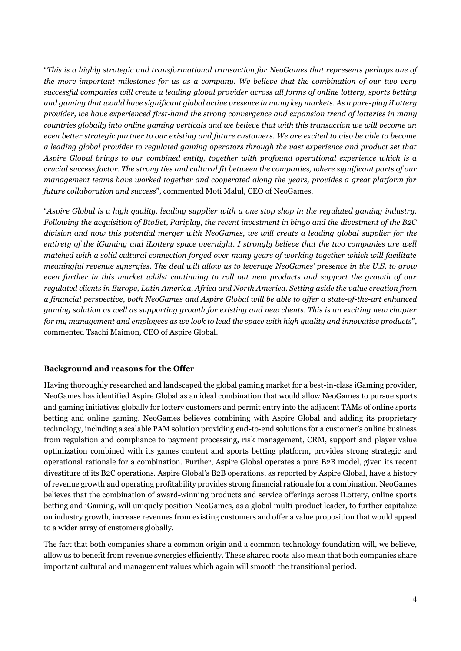"*This is a highly strategic and transformational transaction for NeoGames that represents perhaps one of the more important milestones for us as a company. We believe that the combination of our two very successful companies will create a leading global provider across all forms of online lottery, sports betting and gaming that would have significant global active presence in many key markets. As a pure-play iLottery provider, we have experienced first-hand the strong convergence and expansion trend of lotteries in many countries globally into online gaming verticals and we believe that with this transaction we will become an even better strategic partner to our existing and future customers. We are excited to also be able to become a leading global provider to regulated gaming operators through the vast experience and product set that Aspire Global brings to our combined entity, together with profound operational experience which is a crucial success factor. The strong ties and cultural fit between the companies, where significant parts of our management teams have worked together and cooperated along the years, provides a great platform for future collaboration and success*", commented Moti Malul, CEO of NeoGames.

"*Aspire Global is a high quality, leading supplier with a one stop shop in the regulated gaming industry. Following the acquisition of BtoBet, Pariplay, the recent investment in bingo and the divestment of the B2C division and now this potential merger with NeoGames, we will create a leading global supplier for the entirety of the iGaming and iLottery space overnight. I strongly believe that the two companies are well matched with a solid cultural connection forged over many years of working together which will facilitate meaningful revenue synergies. The deal will allow us to leverage NeoGames' presence in the U.S. to grow even further in this market whilst continuing to roll out new products and support the growth of our regulated clients in Europe, Latin America, Africa and North America. Setting aside the value creation from a financial perspective, both NeoGames and Aspire Global will be able to offer a state-of-the-art enhanced gaming solution as well as supporting growth for existing and new clients. This is an exciting new chapter for my management and employees as we look to lead the space with high quality and innovative products*", commented Tsachi Maimon, CEO of Aspire Global.

#### **Background and reasons for the Offer**

Having thoroughly researched and landscaped the global gaming market for a best-in-class iGaming provider, NeoGames has identified Aspire Global as an ideal combination that would allow NeoGames to pursue sports and gaming initiatives globally for lottery customers and permit entry into the adjacent TAMs of online sports betting and online gaming. NeoGames believes combining with Aspire Global and adding its proprietary technology, including a scalable PAM solution providing end-to-end solutions for a customer's online business from regulation and compliance to payment processing, risk management, CRM, support and player value optimization combined with its games content and sports betting platform, provides strong strategic and operational rationale for a combination. Further, Aspire Global operates a pure B2B model, given its recent divestiture of its B2C operations. Aspire Global's B2B operations, as reported by Aspire Global, have a history of revenue growth and operating profitability provides strong financial rationale for a combination. NeoGames believes that the combination of award-winning products and service offerings across iLottery, online sports betting and iGaming, will uniquely position NeoGames, as a global multi-product leader, to further capitalize on industry growth, increase revenues from existing customers and offer a value proposition that would appeal to a wider array of customers globally.

The fact that both companies share a common origin and a common technology foundation will, we believe, allow us to benefit from revenue synergies efficiently. These shared roots also mean that both companies share important cultural and management values which again will smooth the transitional period.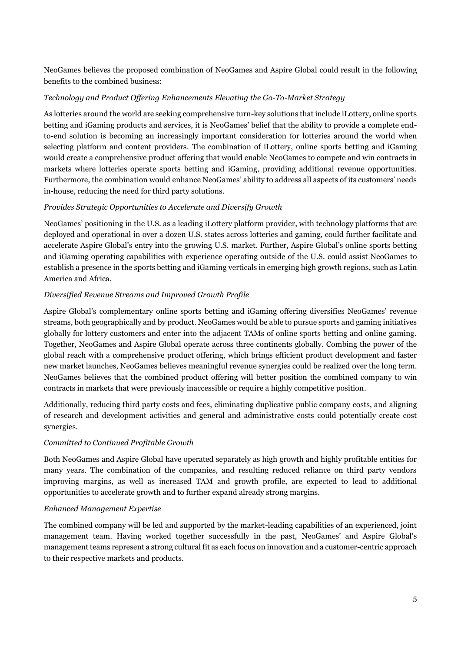NeoGames believes the proposed combination of NeoGames and Aspire Global could result in the following benefits to the combined business:

# *Technology and Product Offering Enhancements Elevating the Go-To-Market Strategy*

As lotteries around the world are seeking comprehensive turn-key solutions that include iLottery, online sports betting and iGaming products and services, it is NeoGames' belief that the ability to provide a complete endto-end solution is becoming an increasingly important consideration for lotteries around the world when selecting platform and content providers. The combination of iLottery, online sports betting and iGaming would create a comprehensive product offering that would enable NeoGames to compete and win contracts in markets where lotteries operate sports betting and iGaming, providing additional revenue opportunities. Furthermore, the combination would enhance NeoGames' ability to address all aspects of its customers' needs in-house, reducing the need for third party solutions.

# *Provides Strategic Opportunities to Accelerate and Diversify Growth*

NeoGames' positioning in the U.S. as a leading iLottery platform provider, with technology platforms that are deployed and operational in over a dozen U.S. states across lotteries and gaming, could further facilitate and accelerate Aspire Global's entry into the growing U.S. market. Further, Aspire Global's online sports betting and iGaming operating capabilities with experience operating outside of the U.S. could assist NeoGames to establish a presence in the sports betting and iGaming verticals in emerging high growth regions, such as Latin America and Africa.

# *Diversified Revenue Streams and Improved Growth Profile*

Aspire Global's complementary online sports betting and iGaming offering diversifies NeoGames' revenue streams, both geographically and by product. NeoGames would be able to pursue sports and gaming initiatives globally for lottery customers and enter into the adjacent TAMs of online sports betting and online gaming. Together, NeoGames and Aspire Global operate across three continents globally. Combing the power of the global reach with a comprehensive product offering, which brings efficient product development and faster new market launches, NeoGames believes meaningful revenue synergies could be realized over the long term. NeoGames believes that the combined product offering will better position the combined company to win contracts in markets that were previously inaccessible or require a highly competitive position.

Additionally, reducing third party costs and fees, eliminating duplicative public company costs, and aligning of research and development activities and general and administrative costs could potentially create cost synergies.

# *Committed to Continued Profitable Growth*

Both NeoGames and Aspire Global have operated separately as high growth and highly profitable entities for many years. The combination of the companies, and resulting reduced reliance on third party vendors improving margins, as well as increased TAM and growth profile, are expected to lead to additional opportunities to accelerate growth and to further expand already strong margins.

# *Enhanced Management Expertise*

The combined company will be led and supported by the market-leading capabilities of an experienced, joint management team. Having worked together successfully in the past, NeoGames' and Aspire Global's management teams represent a strong cultural fit as each focus on innovation and a customer-centric approach to their respective markets and products.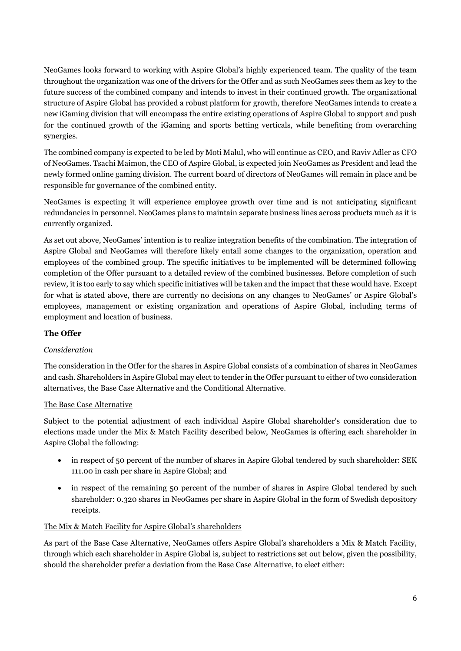NeoGames looks forward to working with Aspire Global's highly experienced team. The quality of the team throughout the organization was one of the drivers for the Offer and as such NeoGames sees them as key to the future success of the combined company and intends to invest in their continued growth. The organizational structure of Aspire Global has provided a robust platform for growth, therefore NeoGames intends to create a new iGaming division that will encompass the entire existing operations of Aspire Global to support and push for the continued growth of the iGaming and sports betting verticals, while benefiting from overarching synergies.

The combined company is expected to be led by Moti Malul, who will continue as CEO, and Raviv Adler as CFO of NeoGames. Tsachi Maimon, the CEO of Aspire Global, is expected join NeoGames as President and lead the newly formed online gaming division. The current board of directors of NeoGames will remain in place and be responsible for governance of the combined entity.

NeoGames is expecting it will experience employee growth over time and is not anticipating significant redundancies in personnel. NeoGames plans to maintain separate business lines across products much as it is currently organized.

As set out above, NeoGames' intention is to realize integration benefits of the combination. The integration of Aspire Global and NeoGames will therefore likely entail some changes to the organization, operation and employees of the combined group. The specific initiatives to be implemented will be determined following completion of the Offer pursuant to a detailed review of the combined businesses. Before completion of such review, it is too early to say which specific initiatives will be taken and the impact that these would have. Except for what is stated above, there are currently no decisions on any changes to NeoGames' or Aspire Global's employees, management or existing organization and operations of Aspire Global, including terms of employment and location of business.

# **The Offer**

# *Consideration*

The consideration in the Offer for the shares in Aspire Global consists of a combination of shares in NeoGames and cash. Shareholders in Aspire Global may elect to tender in the Offer pursuant to either of two consideration alternatives, the Base Case Alternative and the Conditional Alternative.

# The Base Case Alternative

Subject to the potential adjustment of each individual Aspire Global shareholder's consideration due to elections made under the Mix & Match Facility described below, NeoGames is offering each shareholder in Aspire Global the following:

- in respect of 50 percent of the number of shares in Aspire Global tendered by such shareholder: SEK 111.00 in cash per share in Aspire Global; and
- in respect of the remaining 50 percent of the number of shares in Aspire Global tendered by such shareholder: 0.320 shares in NeoGames per share in Aspire Global in the form of Swedish depository receipts.

# The Mix & Match Facility for Aspire Global's shareholders

As part of the Base Case Alternative, NeoGames offers Aspire Global's shareholders a Mix & Match Facility, through which each shareholder in Aspire Global is, subject to restrictions set out below, given the possibility, should the shareholder prefer a deviation from the Base Case Alternative, to elect either: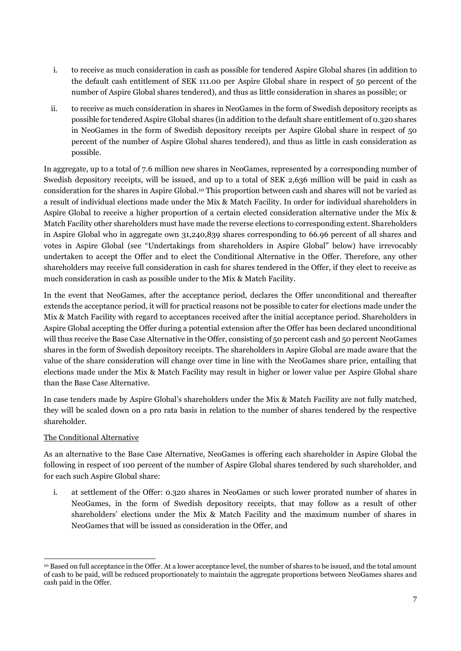- i. to receive as much consideration in cash as possible for tendered Aspire Global shares (in addition to the default cash entitlement of SEK 111.00 per Aspire Global share in respect of 50 percent of the number of Aspire Global shares tendered), and thus as little consideration in shares as possible; or
- ii. to receive as much consideration in shares in NeoGames in the form of Swedish depository receipts as possible for tendered Aspire Global shares (in addition to the default share entitlement of 0.320 shares in NeoGames in the form of Swedish depository receipts per Aspire Global share in respect of 50 percent of the number of Aspire Global shares tendered), and thus as little in cash consideration as possible.

In aggregate, up to a total of 7.6 million new shares in NeoGames, represented by a corresponding number of Swedish depository receipts, will be issued, and up to a total of SEK 2,636 million will be paid in cash as consideration for the shares in Aspire Global. <sup>10</sup> This proportion between cash and shares will not be varied as a result of individual elections made under the Mix & Match Facility. In order for individual shareholders in Aspire Global to receive a higher proportion of a certain elected consideration alternative under the Mix & Match Facility other shareholders must have made the reverse elections to corresponding extent. Shareholders in Aspire Global who in aggregate own 31,240,839 shares corresponding to 66.96 percent of all shares and votes in Aspire Global (see "Undertakings from shareholders in Aspire Global" below) have irrevocably undertaken to accept the Offer and to elect the Conditional Alternative in the Offer. Therefore, any other shareholders may receive full consideration in cash for shares tendered in the Offer, if they elect to receive as much consideration in cash as possible under to the Mix & Match Facility.

In the event that NeoGames, after the acceptance period, declares the Offer unconditional and thereafter extends the acceptance period, it will for practical reasons not be possible to cater for elections made under the Mix & Match Facility with regard to acceptances received after the initial acceptance period. Shareholders in Aspire Global accepting the Offer during a potential extension after the Offer has been declared unconditional will thus receive the Base Case Alternative in the Offer, consisting of 50 percent cash and 50 percent NeoGames shares in the form of Swedish depository receipts. The shareholders in Aspire Global are made aware that the value of the share consideration will change over time in line with the NeoGames share price, entailing that elections made under the Mix & Match Facility may result in higher or lower value per Aspire Global share than the Base Case Alternative.

In case tenders made by Aspire Global's shareholders under the Mix & Match Facility are not fully matched, they will be scaled down on a pro rata basis in relation to the number of shares tendered by the respective shareholder.

# The Conditional Alternative

As an alternative to the Base Case Alternative, NeoGames is offering each shareholder in Aspire Global the following in respect of 100 percent of the number of Aspire Global shares tendered by such shareholder, and for each such Aspire Global share:

i. at settlement of the Offer: 0.320 shares in NeoGames or such lower prorated number of shares in NeoGames, in the form of Swedish depository receipts, that may follow as a result of other shareholders' elections under the Mix & Match Facility and the maximum number of shares in NeoGames that will be issued as consideration in the Offer, and

<sup>1</sup> <sup>10</sup> Based on full acceptance in the Offer. At a lower acceptance level, the number of shares to be issued, and the total amount of cash to be paid, will be reduced proportionately to maintain the aggregate proportions between NeoGames shares and cash paid in the Offer.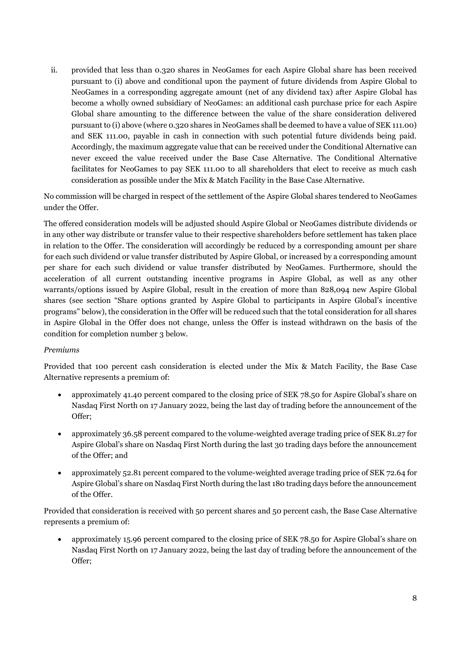ii. provided that less than 0.320 shares in NeoGames for each Aspire Global share has been received pursuant to (i) above and conditional upon the payment of future dividends from Aspire Global to NeoGames in a corresponding aggregate amount (net of any dividend tax) after Aspire Global has become a wholly owned subsidiary of NeoGames: an additional cash purchase price for each Aspire Global share amounting to the difference between the value of the share consideration delivered pursuant to (i) above (where 0.320 shares in NeoGames shall be deemed to have a value of SEK 111.00) and SEK 111.00, payable in cash in connection with such potential future dividends being paid. Accordingly, the maximum aggregate value that can be received under the Conditional Alternative can never exceed the value received under the Base Case Alternative. The Conditional Alternative facilitates for NeoGames to pay SEK 111.00 to all shareholders that elect to receive as much cash consideration as possible under the Mix & Match Facility in the Base Case Alternative.

No commission will be charged in respect of the settlement of the Aspire Global shares tendered to NeoGames under the Offer.

The offered consideration models will be adjusted should Aspire Global or NeoGames distribute dividends or in any other way distribute or transfer value to their respective shareholders before settlement has taken place in relation to the Offer. The consideration will accordingly be reduced by a corresponding amount per share for each such dividend or value transfer distributed by Aspire Global, or increased by a corresponding amount per share for each such dividend or value transfer distributed by NeoGames. Furthermore, should the acceleration of all current outstanding incentive programs in Aspire Global, as well as any other warrants/options issued by Aspire Global, result in the creation of more than 828,094 new Aspire Global shares (see section "Share options granted by Aspire Global to participants in Aspire Global's incentive programs" below), the consideration in the Offer will be reduced such that the total consideration for all shares in Aspire Global in the Offer does not change, unless the Offer is instead withdrawn on the basis of the condition for completion number 3 below.

#### *Premiums*

Provided that 100 percent cash consideration is elected under the Mix & Match Facility, the Base Case Alternative represents a premium of:

- approximately 41.40 percent compared to the closing price of SEK 78.50 for Aspire Global's share on Nasdaq First North on 17 January 2022, being the last day of trading before the announcement of the Offer;
- approximately 36.58 percent compared to the volume-weighted average trading price of SEK 81.27 for Aspire Global's share on Nasdaq First North during the last 30 trading days before the announcement of the Offer; and
- approximately 52.81 percent compared to the volume-weighted average trading price of SEK 72.64 for Aspire Global's share on Nasdaq First North during the last 180 trading days before the announcement of the Offer.

Provided that consideration is received with 50 percent shares and 50 percent cash, the Base Case Alternative represents a premium of:

• approximately 15.96 percent compared to the closing price of SEK 78.50 for Aspire Global's share on Nasdaq First North on 17 January 2022, being the last day of trading before the announcement of the Offer;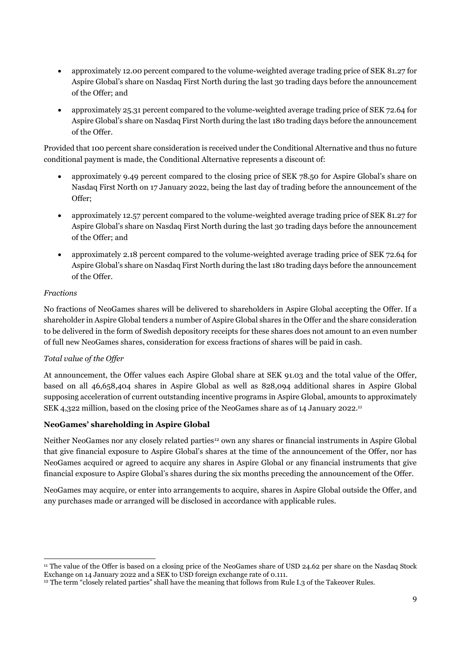- approximately 12.00 percent compared to the volume-weighted average trading price of SEK 81.27 for Aspire Global's share on Nasdaq First North during the last 30 trading days before the announcement of the Offer; and
- approximately 25.31 percent compared to the volume-weighted average trading price of SEK 72.64 for Aspire Global's share on Nasdaq First North during the last 180 trading days before the announcement of the Offer.

Provided that 100 percent share consideration is received under the Conditional Alternative and thus no future conditional payment is made, the Conditional Alternative represents a discount of:

- approximately 9.49 percent compared to the closing price of SEK 78.50 for Aspire Global's share on Nasdaq First North on 17 January 2022, being the last day of trading before the announcement of the Offer;
- approximately 12.57 percent compared to the volume-weighted average trading price of SEK 81.27 for Aspire Global's share on Nasdaq First North during the last 30 trading days before the announcement of the Offer; and
- approximately 2.18 percent compared to the volume-weighted average trading price of SEK 72.64 for Aspire Global's share on Nasdaq First North during the last 180 trading days before the announcement of the Offer.

# *Fractions*

No fractions of NeoGames shares will be delivered to shareholders in Aspire Global accepting the Offer. If a shareholder in Aspire Global tenders a number of Aspire Global shares in the Offer and the share consideration to be delivered in the form of Swedish depository receipts for these shares does not amount to an even number of full new NeoGames shares, consideration for excess fractions of shares will be paid in cash.

# *Total value of the Offer*

At announcement, the Offer values each Aspire Global share at SEK 91.03 and the total value of the Offer, based on all 46,658,404 shares in Aspire Global as well as 828,094 additional shares in Aspire Global supposing acceleration of current outstanding incentive programs in Aspire Global, amounts to approximately SEK 4,322 million, based on the closing price of the NeoGames share as of 14 January 2022. 11

# **NeoGames' shareholding in Aspire Global**

Neither NeoGames nor any closely related parties<sup>12</sup> own any shares or financial instruments in Aspire Global that give financial exposure to Aspire Global's shares at the time of the announcement of the Offer, nor has NeoGames acquired or agreed to acquire any shares in Aspire Global or any financial instruments that give financial exposure to Aspire Global's shares during the six months preceding the announcement of the Offer.

NeoGames may acquire, or enter into arrangements to acquire, shares in Aspire Global outside the Offer, and any purchases made or arranged will be disclosed in accordance with applicable rules.

<sup>1</sup> <sup>11</sup> The value of the Offer is based on a closing price of the NeoGames share of USD 24.62 per share on the Nasdaq Stock Exchange on 14 January 2022 and a SEK to USD foreign exchange rate of 0.111.

<sup>12</sup> The term "closely related parties" shall have the meaning that follows from Rule I.3 of the Takeover Rules.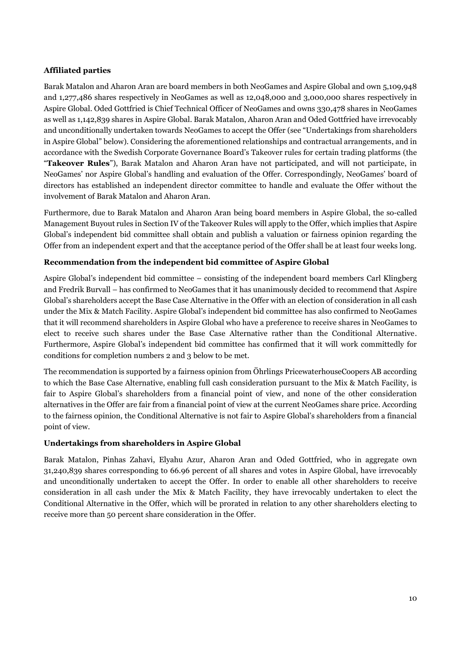# **Affiliated parties**

Barak Matalon and Aharon Aran are board members in both NeoGames and Aspire Global and own 5,109,948 and 1,277,486 shares respectively in NeoGames as well as 12,048,000 and 3,000,000 shares respectively in Aspire Global. Oded Gottfried is Chief Technical Officer of NeoGames and owns 330,478 shares in NeoGames as well as 1,142,839 shares in Aspire Global. Barak Matalon, Aharon Aran and Oded Gottfried have irrevocably and unconditionally undertaken towards NeoGames to accept the Offer (see "Undertakings from shareholders in Aspire Global" below). Considering the aforementioned relationships and contractual arrangements, and in accordance with the Swedish Corporate Governance Board's Takeover rules for certain trading platforms (the "**Takeover Rules**"), Barak Matalon and Aharon Aran have not participated, and will not participate, in NeoGames' nor Aspire Global's handling and evaluation of the Offer. Correspondingly, NeoGames' board of directors has established an independent director committee to handle and evaluate the Offer without the involvement of Barak Matalon and Aharon Aran.

Furthermore, due to Barak Matalon and Aharon Aran being board members in Aspire Global, the so-called Management Buyout rules in Section IV of the Takeover Rules will apply to the Offer, which implies that Aspire Global's independent bid committee shall obtain and publish a valuation or fairness opinion regarding the Offer from an independent expert and that the acceptance period of the Offer shall be at least four weeks long.

# **Recommendation from the independent bid committee of Aspire Global**

Aspire Global's independent bid committee – consisting of the independent board members Carl Klingberg and Fredrik Burvall – has confirmed to NeoGames that it has unanimously decided to recommend that Aspire Global's shareholders accept the Base Case Alternative in the Offer with an election of consideration in all cash under the Mix & Match Facility. Aspire Global's independent bid committee has also confirmed to NeoGames that it will recommend shareholders in Aspire Global who have a preference to receive shares in NeoGames to elect to receive such shares under the Base Case Alternative rather than the Conditional Alternative. Furthermore, Aspire Global's independent bid committee has confirmed that it will work committedly for conditions for completion numbers 2 and 3 below to be met.

The recommendation is supported by a fairness opinion from Öhrlings PricewaterhouseCoopers AB according to which the Base Case Alternative, enabling full cash consideration pursuant to the Mix & Match Facility, is fair to Aspire Global's shareholders from a financial point of view, and none of the other consideration alternatives in the Offer are fair from a financial point of view at the current NeoGames share price. According to the fairness opinion, the Conditional Alternative is not fair to Aspire Global's shareholders from a financial point of view.

# **Undertakings from shareholders in Aspire Global**

Barak Matalon, Pinhas Zahavi, Elyahu Azur, Aharon Aran and Oded Gottfried, who in aggregate own 31,240,839 shares corresponding to 66.96 percent of all shares and votes in Aspire Global, have irrevocably and unconditionally undertaken to accept the Offer. In order to enable all other shareholders to receive consideration in all cash under the Mix & Match Facility, they have irrevocably undertaken to elect the Conditional Alternative in the Offer, which will be prorated in relation to any other shareholders electing to receive more than 50 percent share consideration in the Offer.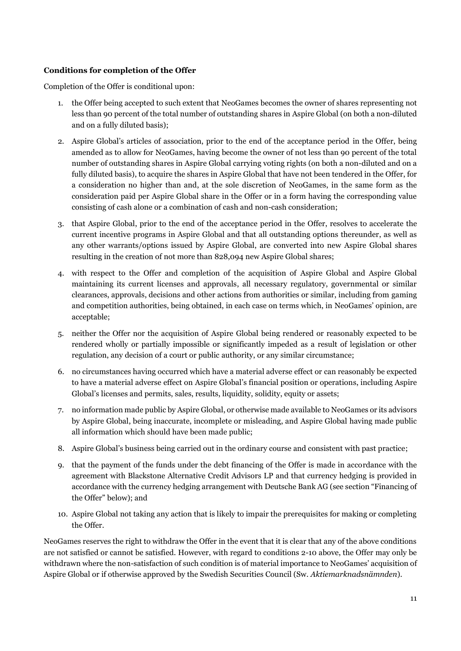# **Conditions for completion of the Offer**

Completion of the Offer is conditional upon:

- 1. the Offer being accepted to such extent that NeoGames becomes the owner of shares representing not less than 90 percent of the total number of outstanding shares in Aspire Global (on both a non-diluted and on a fully diluted basis);
- 2. Aspire Global's articles of association, prior to the end of the acceptance period in the Offer, being amended as to allow for NeoGames, having become the owner of not less than 90 percent of the total number of outstanding shares in Aspire Global carrying voting rights (on both a non-diluted and on a fully diluted basis), to acquire the shares in Aspire Global that have not been tendered in the Offer, for a consideration no higher than and, at the sole discretion of NeoGames, in the same form as the consideration paid per Aspire Global share in the Offer or in a form having the corresponding value consisting of cash alone or a combination of cash and non-cash consideration;
- 3. that Aspire Global, prior to the end of the acceptance period in the Offer, resolves to accelerate the current incentive programs in Aspire Global and that all outstanding options thereunder, as well as any other warrants/options issued by Aspire Global, are converted into new Aspire Global shares resulting in the creation of not more than 828,094 new Aspire Global shares;
- 4. with respect to the Offer and completion of the acquisition of Aspire Global and Aspire Global maintaining its current licenses and approvals, all necessary regulatory, governmental or similar clearances, approvals, decisions and other actions from authorities or similar, including from gaming and competition authorities, being obtained, in each case on terms which, in NeoGames' opinion, are acceptable;
- 5. neither the Offer nor the acquisition of Aspire Global being rendered or reasonably expected to be rendered wholly or partially impossible or significantly impeded as a result of legislation or other regulation, any decision of a court or public authority, or any similar circumstance;
- 6. no circumstances having occurred which have a material adverse effect or can reasonably be expected to have a material adverse effect on Aspire Global's financial position or operations, including Aspire Global's licenses and permits, sales, results, liquidity, solidity, equity or assets;
- 7. no information made public by Aspire Global, or otherwise made available to NeoGames or its advisors by Aspire Global, being inaccurate, incomplete or misleading, and Aspire Global having made public all information which should have been made public;
- 8. Aspire Global's business being carried out in the ordinary course and consistent with past practice;
- 9. that the payment of the funds under the debt financing of the Offer is made in accordance with the agreement with Blackstone Alternative Credit Advisors LP and that currency hedging is provided in accordance with the currency hedging arrangement with Deutsche Bank AG (see section "Financing of the Offer" below); and
- 10. Aspire Global not taking any action that is likely to impair the prerequisites for making or completing the Offer.

NeoGames reserves the right to withdraw the Offer in the event that it is clear that any of the above conditions are not satisfied or cannot be satisfied. However, with regard to conditions 2-10 above, the Offer may only be withdrawn where the non-satisfaction of such condition is of material importance to NeoGames' acquisition of Aspire Global or if otherwise approved by the Swedish Securities Council (Sw. *Aktiemarknadsnämnden*).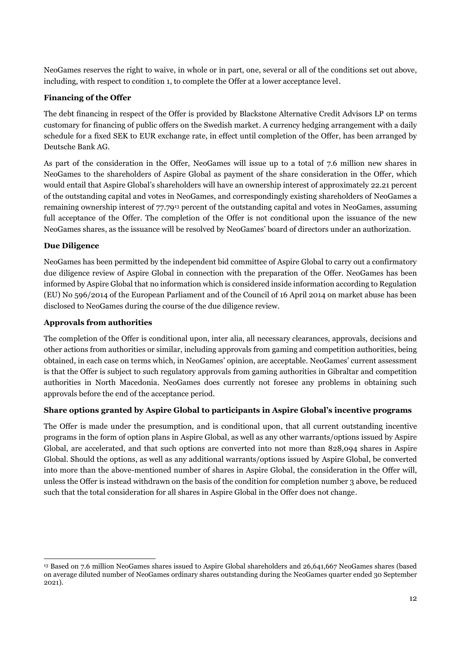NeoGames reserves the right to waive, in whole or in part, one, several or all of the conditions set out above, including, with respect to condition 1, to complete the Offer at a lower acceptance level.

### **Financing of the Offer**

The debt financing in respect of the Offer is provided by Blackstone Alternative Credit Advisors LP on terms customary for financing of public offers on the Swedish market. A currency hedging arrangement with a daily schedule for a fixed SEK to EUR exchange rate, in effect until completion of the Offer, has been arranged by Deutsche Bank AG.

As part of the consideration in the Offer, NeoGames will issue up to a total of 7.6 million new shares in NeoGames to the shareholders of Aspire Global as payment of the share consideration in the Offer, which would entail that Aspire Global's shareholders will have an ownership interest of approximately 22.21 percent of the outstanding capital and votes in NeoGames, and correspondingly existing shareholders of NeoGames a remaining ownership interest of 77.79<sup>13</sup> percent of the outstanding capital and votes in NeoGames, assuming full acceptance of the Offer. The completion of the Offer is not conditional upon the issuance of the new NeoGames shares, as the issuance will be resolved by NeoGames' board of directors under an authorization.

### **Due Diligence**

1

NeoGames has been permitted by the independent bid committee of Aspire Global to carry out a confirmatory due diligence review of Aspire Global in connection with the preparation of the Offer. NeoGames has been informed by Aspire Global that no information which is considered inside information according to Regulation (EU) No 596/2014 of the European Parliament and of the Council of 16 April 2014 on market abuse has been disclosed to NeoGames during the course of the due diligence review.

### **Approvals from authorities**

The completion of the Offer is conditional upon, inter alia, all necessary clearances, approvals, decisions and other actions from authorities or similar, including approvals from gaming and competition authorities, being obtained, in each case on terms which, in NeoGames' opinion, are acceptable. NeoGames' current assessment is that the Offer is subject to such regulatory approvals from gaming authorities in Gibraltar and competition authorities in North Macedonia. NeoGames does currently not foresee any problems in obtaining such approvals before the end of the acceptance period.

# **Share options granted by Aspire Global to participants in Aspire Global's incentive programs**

The Offer is made under the presumption, and is conditional upon, that all current outstanding incentive programs in the form of option plans in Aspire Global, as well as any other warrants/options issued by Aspire Global, are accelerated, and that such options are converted into not more than 828,094 shares in Aspire Global. Should the options, as well as any additional warrants/options issued by Aspire Global, be converted into more than the above-mentioned number of shares in Aspire Global, the consideration in the Offer will, unless the Offer is instead withdrawn on the basis of the condition for completion number 3 above, be reduced such that the total consideration for all shares in Aspire Global in the Offer does not change.

<sup>13</sup> Based on 7.6 million NeoGames shares issued to Aspire Global shareholders and 26,641,667 NeoGames shares (based on average diluted number of NeoGames ordinary shares outstanding during the NeoGames quarter ended 30 September 2021).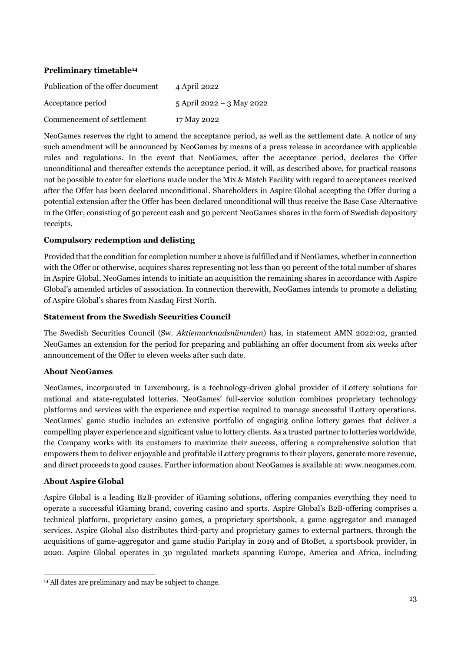# **Preliminary timetable<sup>14</sup>**

| Publication of the offer document | 4 April 2022              |
|-----------------------------------|---------------------------|
| Acceptance period                 | 5 April 2022 – 3 May 2022 |
| Commencement of settlement        | 17 May 2022               |

NeoGames reserves the right to amend the acceptance period, as well as the settlement date. A notice of any such amendment will be announced by NeoGames by means of a press release in accordance with applicable rules and regulations. In the event that NeoGames, after the acceptance period, declares the Offer unconditional and thereafter extends the acceptance period, it will, as described above, for practical reasons not be possible to cater for elections made under the Mix & Match Facility with regard to acceptances received after the Offer has been declared unconditional. Shareholders in Aspire Global accepting the Offer during a potential extension after the Offer has been declared unconditional will thus receive the Base Case Alternative in the Offer, consisting of 50 percent cash and 50 percent NeoGames shares in the form of Swedish depository receipts.

### **Compulsory redemption and delisting**

Provided that the condition for completion number 2 above is fulfilled and if NeoGames, whether in connection with the Offer or otherwise, acquires shares representing not less than 90 percent of the total number of shares in Aspire Global, NeoGames intends to initiate an acquisition the remaining shares in accordance with Aspire Global's amended articles of association. In connection therewith, NeoGames intends to promote a delisting of Aspire Global's shares from Nasdaq First North.

### **Statement from the Swedish Securities Council**

The Swedish Securities Council (Sw. *Aktiemarknadsnämnden*) has, in statement AMN 2022:02, granted NeoGames an extension for the period for preparing and publishing an offer document from six weeks after announcement of the Offer to eleven weeks after such date.

#### **About NeoGames**

NeoGames, incorporated in Luxembourg, is a technology-driven global provider of iLottery solutions for national and state-regulated lotteries. NeoGames' full-service solution combines proprietary technology platforms and services with the experience and expertise required to manage successful iLottery operations. NeoGames' game studio includes an extensive portfolio of engaging online lottery games that deliver a compelling player experience and significant value to lottery clients. As a trusted partner to lotteries worldwide, the Company works with its customers to maximize their success, offering a comprehensive solution that empowers them to deliver enjoyable and profitable iLottery programs to their players, generate more revenue, and direct proceeds to good causes. Further information about NeoGames is available at: www.neogames.com.

#### **About Aspire Global**

-

Aspire Global is a leading B2B-provider of iGaming solutions, offering companies everything they need to operate a successful iGaming brand, covering casino and sports. Aspire Global's B2B-offering comprises a technical platform, proprietary casino games, a proprietary sportsbook, a game aggregator and managed services. Aspire Global also distributes third-party and proprietary games to external partners, through the acquisitions of game-aggregator and game studio Pariplay in 2019 and of BtoBet, a sportsbook provider, in 2020. Aspire Global operates in 30 regulated markets spanning Europe, America and Africa, including

<sup>14</sup> All dates are preliminary and may be subject to change.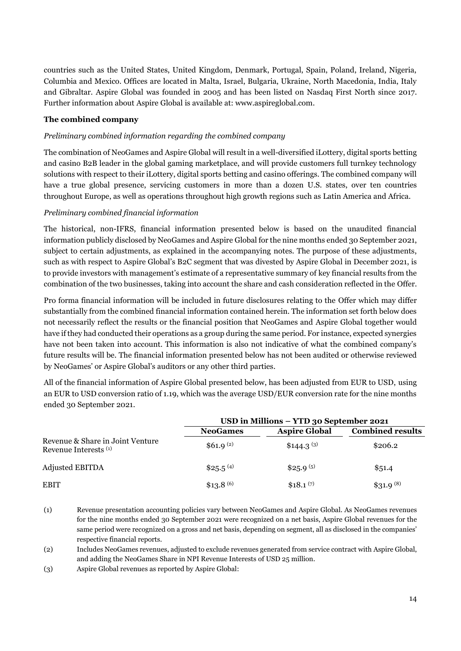countries such as the United States, United Kingdom, Denmark, Portugal, Spain, Poland, Ireland, Nigeria, Columbia and Mexico. Offices are located in Malta, Israel, Bulgaria, Ukraine, North Macedonia, India, Italy and Gibraltar. Aspire Global was founded in 2005 and has been listed on Nasdaq First North since 2017. Further information about Aspire Global is available at: www.aspireglobal.com.

### **The combined company**

### *Preliminary combined information regarding the combined company*

The combination of NeoGames and Aspire Global will result in a well-diversified iLottery, digital sports betting and casino B2B leader in the global gaming marketplace, and will provide customers full turnkey technology solutions with respect to their iLottery, digital sports betting and casino offerings. The combined company will have a true global presence, servicing customers in more than a dozen U.S. states, over ten countries throughout Europe, as well as operations throughout high growth regions such as Latin America and Africa.

### *Preliminary combined financial information*

The historical, non-IFRS, financial information presented below is based on the unaudited financial information publicly disclosed by NeoGames and Aspire Global for the nine months ended 30 September 2021, subject to certain adjustments, as explained in the accompanying notes. The purpose of these adjustments, such as with respect to Aspire Global's B2C segment that was divested by Aspire Global in December 2021, is to provide investors with management's estimate of a representative summary of key financial results from the combination of the two businesses, taking into account the share and cash consideration reflected in the Offer.

Pro forma financial information will be included in future disclosures relating to the Offer which may differ substantially from the combined financial information contained herein. The information set forth below does not necessarily reflect the results or the financial position that NeoGames and Aspire Global together would have if they had conducted their operations as a group during the same period. For instance, expected synergies have not been taken into account. This information is also not indicative of what the combined company's future results will be. The financial information presented below has not been audited or otherwise reviewed by NeoGames' or Aspire Global's auditors or any other third parties.

All of the financial information of Aspire Global presented below, has been adjusted from EUR to USD, using an EUR to USD conversion ratio of 1.19, which was the average USD/EUR conversion rate for the nine months ended 30 September 2021.

|                                                           | USD in Millions – YTD 30 September 2021 |                        |                         |
|-----------------------------------------------------------|-----------------------------------------|------------------------|-------------------------|
|                                                           | <b>NeoGames</b>                         | <b>Aspire Global</b>   | <b>Combined results</b> |
| Revenue & Share in Joint Venture<br>Revenue Interests (1) | \$61.9 <sup>(2)</sup>                   | \$144.3 <sup>(3)</sup> | \$206.2                 |
| Adjusted EBITDA                                           | \$25.5 <sup>(4)</sup>                   | \$25.9 <sup>(5)</sup>  | \$51.4                  |
| <b>EBIT</b>                                               | $$13.8\,^{(6)}$                         | \$18.1 <sup>(7)</sup>  | \$31.9 <sup>(8)</sup>   |

<sup>(1)</sup> Revenue presentation accounting policies vary between NeoGames and Aspire Global. As NeoGames revenues for the nine months ended 30 September 2021 were recognized on a net basis, Aspire Global revenues for the same period were recognized on a gross and net basis, depending on segment, all as disclosed in the companies' respective financial reports.

- (2) Includes NeoGames revenues, adjusted to exclude revenues generated from service contract with Aspire Global, and adding the NeoGames Share in NPI Revenue Interests of USD 25 million.
- (3) Aspire Global revenues as reported by Aspire Global: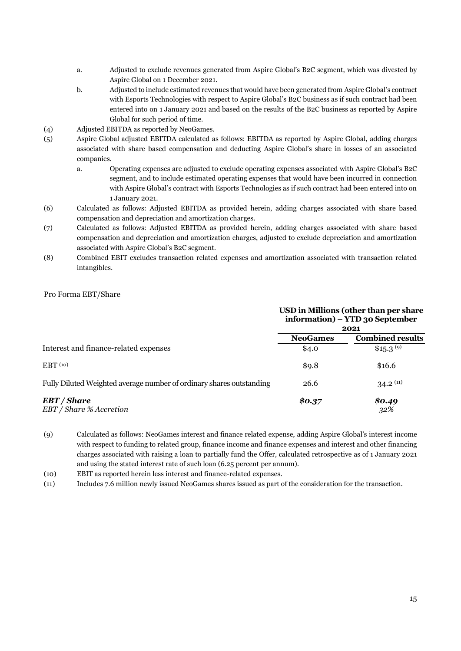- a. Adjusted to exclude revenues generated from Aspire Global's B2C segment, which was divested by Aspire Global on 1 December 2021.
- b. Adjusted to include estimated revenues that would have been generated from Aspire Global's contract with Esports Technologies with respect to Aspire Global's B2C business as if such contract had been entered into on 1 January 2021 and based on the results of the B2C business as reported by Aspire Global for such period of time.
- (4) Adjusted EBITDA as reported by NeoGames.
- (5) Aspire Global adjusted EBITDA calculated as follows: EBITDA as reported by Aspire Global, adding charges associated with share based compensation and deducting Aspire Global's share in losses of an associated companies.
	- a. Operating expenses are adjusted to exclude operating expenses associated with Aspire Global's B2C segment, and to include estimated operating expenses that would have been incurred in connection with Aspire Global's contract with Esports Technologies as if such contract had been entered into on 1 January 2021.
- (6) Calculated as follows: Adjusted EBITDA as provided herein, adding charges associated with share based compensation and depreciation and amortization charges.
- (7) Calculated as follows: Adjusted EBITDA as provided herein, adding charges associated with share based compensation and depreciation and amortization charges, adjusted to exclude depreciation and amortization associated with Aspire Global's B2C segment.
- (8) Combined EBIT excludes transaction related expenses and amortization associated with transaction related intangibles.

#### Pro Forma EBT/Share

|                                                                      | USD in Millions (other than per share<br>information) – YTD 30 September<br>2021 |                         |
|----------------------------------------------------------------------|----------------------------------------------------------------------------------|-------------------------|
|                                                                      | <b>NeoGames</b>                                                                  | <b>Combined results</b> |
| Interest and finance-related expenses                                | \$4.0                                                                            | \$15.3 <sup>(9)</sup>   |
| EBT <sub>(10)</sub>                                                  | \$9.8                                                                            | \$16.6                  |
| Fully Diluted Weighted average number of ordinary shares outstanding | 26.6                                                                             | $34.2^{(11)}$           |
| EBT / Share<br>EBT / Share % Accretion                               | \$0.37                                                                           | \$0.49<br>32%           |

(9) Calculated as follows: NeoGames interest and finance related expense, adding Aspire Global's interest income with respect to funding to related group, finance income and finance expenses and interest and other financing charges associated with raising a loan to partially fund the Offer, calculated retrospective as of 1 January 2021 and using the stated interest rate of such loan (6.25 percent per annum).

(10) EBIT as reported herein less interest and finance-related expenses.

(11) Includes 7.6 million newly issued NeoGames shares issued as part of the consideration for the transaction.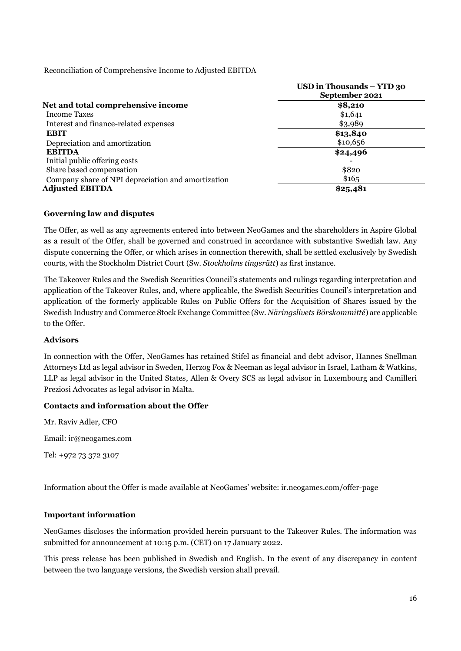### Reconciliation of Comprehensive Income to Adjusted EBITDA

|                                                    | USD in Thousands – YTD 30<br>September 2021 |
|----------------------------------------------------|---------------------------------------------|
| Net and total comprehensive income                 | \$8,210                                     |
| <b>Income Taxes</b>                                | \$1,641                                     |
| Interest and finance-related expenses              | \$3,989                                     |
| <b>EBIT</b>                                        | \$13,840                                    |
| Depreciation and amortization                      | \$10,656                                    |
| <b>EBITDA</b>                                      | \$24,496                                    |
| Initial public offering costs                      |                                             |
| Share based compensation                           | \$820                                       |
| Company share of NPI depreciation and amortization | \$165                                       |
| <b>Adjusted EBITDA</b>                             | \$25,481                                    |

### **Governing law and disputes**

The Offer, as well as any agreements entered into between NeoGames and the shareholders in Aspire Global as a result of the Offer, shall be governed and construed in accordance with substantive Swedish law. Any dispute concerning the Offer, or which arises in connection therewith, shall be settled exclusively by Swedish courts, with the Stockholm District Court (Sw. *Stockholms tingsrätt*) as first instance.

The Takeover Rules and the Swedish Securities Council's statements and rulings regarding interpretation and application of the Takeover Rules, and, where applicable, the Swedish Securities Council's interpretation and application of the formerly applicable Rules on Public Offers for the Acquisition of Shares issued by the Swedish Industry and Commerce Stock Exchange Committee (Sw. *Näringslivets Börskommitté*) are applicable to the Offer.

#### **Advisors**

In connection with the Offer, NeoGames has retained Stifel as financial and debt advisor, Hannes Snellman Attorneys Ltd as legal advisor in Sweden, Herzog Fox & Neeman as legal advisor in Israel, Latham & Watkins, LLP as legal advisor in the United States, Allen & Overy SCS as legal advisor in Luxembourg and Camilleri Preziosi Advocates as legal advisor in Malta.

# **Contacts and information about the Offer**

Mr. Raviv Adler, CFO

Email: ir@neogames.com

Tel: +972 73 372 3107

Information about the Offer is made available at NeoGames' website: ir.neogames.com/offer-page

#### **Important information**

NeoGames discloses the information provided herein pursuant to the Takeover Rules. The information was submitted for announcement at 10:15 p.m. (CET) on 17 January 2022.

This press release has been published in Swedish and English. In the event of any discrepancy in content between the two language versions, the Swedish version shall prevail.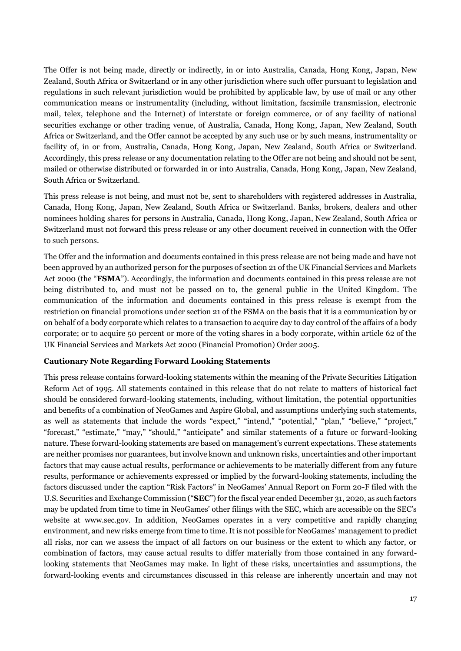The Offer is not being made, directly or indirectly, in or into Australia, Canada, Hong Kong, Japan, New Zealand, South Africa or Switzerland or in any other jurisdiction where such offer pursuant to legislation and regulations in such relevant jurisdiction would be prohibited by applicable law, by use of mail or any other communication means or instrumentality (including, without limitation, facsimile transmission, electronic mail, telex, telephone and the Internet) of interstate or foreign commerce, or of any facility of national securities exchange or other trading venue, of Australia, Canada, Hong Kong, Japan, New Zealand, South Africa or Switzerland, and the Offer cannot be accepted by any such use or by such means, instrumentality or facility of, in or from, Australia, Canada, Hong Kong, Japan, New Zealand, South Africa or Switzerland. Accordingly, this press release or any documentation relating to the Offer are not being and should not be sent, mailed or otherwise distributed or forwarded in or into Australia, Canada, Hong Kong, Japan, New Zealand, South Africa or Switzerland.

This press release is not being, and must not be, sent to shareholders with registered addresses in Australia, Canada, Hong Kong, Japan, New Zealand, South Africa or Switzerland. Banks, brokers, dealers and other nominees holding shares for persons in Australia, Canada, Hong Kong, Japan, New Zealand, South Africa or Switzerland must not forward this press release or any other document received in connection with the Offer to such persons.

The Offer and the information and documents contained in this press release are not being made and have not been approved by an authorized person for the purposes of section 21 of the UK Financial Services and Markets Act 2000 (the "**FSMA**"). Accordingly, the information and documents contained in this press release are not being distributed to, and must not be passed on to, the general public in the United Kingdom. The communication of the information and documents contained in this press release is exempt from the restriction on financial promotions under section 21 of the FSMA on the basis that it is a communication by or on behalf of a body corporate which relates to a transaction to acquire day to day control of the affairs of a body corporate; or to acquire 50 percent or more of the voting shares in a body corporate, within article 62 of the UK Financial Services and Markets Act 2000 (Financial Promotion) Order 2005.

#### **Cautionary Note Regarding Forward Looking Statements**

This press release contains forward-looking statements within the meaning of the Private Securities Litigation Reform Act of 1995. All statements contained in this release that do not relate to matters of historical fact should be considered forward-looking statements, including, without limitation, the potential opportunities and benefits of a combination of NeoGames and Aspire Global, and assumptions underlying such statements, as well as statements that include the words "expect," "intend," "potential," "plan," "believe," "project," "forecast," "estimate," "may," "should," "anticipate" and similar statements of a future or forward-looking nature. These forward-looking statements are based on management's current expectations. These statements are neither promises nor guarantees, but involve known and unknown risks, uncertainties and other important factors that may cause actual results, performance or achievements to be materially different from any future results, performance or achievements expressed or implied by the forward-looking statements, including the factors discussed under the caption "Risk Factors" in NeoGames' Annual Report on Form 20-F filed with the U.S. Securities and Exchange Commission ("**SEC**") for the fiscal year ended December 31, 2020, as such factors may be updated from time to time in NeoGames' other filings with the SEC, which are accessible on the SEC's website at www.sec.gov. In addition, NeoGames operates in a very competitive and rapidly changing environment, and new risks emerge from time to time. It is not possible for NeoGames' management to predict all risks, nor can we assess the impact of all factors on our business or the extent to which any factor, or combination of factors, may cause actual results to differ materially from those contained in any forwardlooking statements that NeoGames may make. In light of these risks, uncertainties and assumptions, the forward-looking events and circumstances discussed in this release are inherently uncertain and may not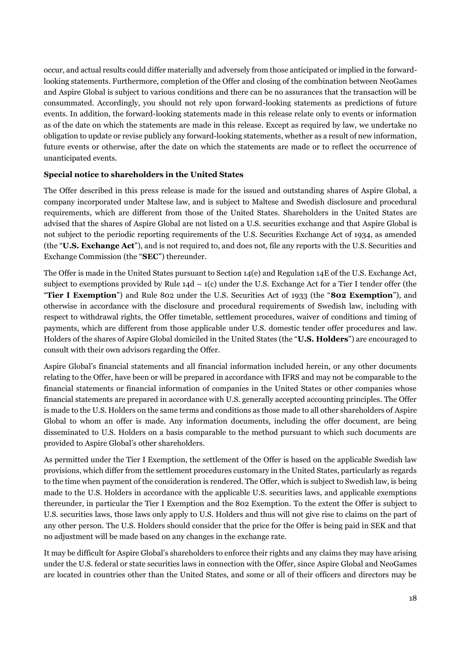occur, and actual results could differ materially and adversely from those anticipated or implied in the forwardlooking statements. Furthermore, completion of the Offer and closing of the combination between NeoGames and Aspire Global is subject to various conditions and there can be no assurances that the transaction will be consummated. Accordingly, you should not rely upon forward-looking statements as predictions of future events. In addition, the forward-looking statements made in this release relate only to events or information as of the date on which the statements are made in this release. Except as required by law, we undertake no obligation to update or revise publicly any forward-looking statements, whether as a result of new information, future events or otherwise, after the date on which the statements are made or to reflect the occurrence of unanticipated events.

### **Special notice to shareholders in the United States**

The Offer described in this press release is made for the issued and outstanding shares of Aspire Global, a company incorporated under Maltese law, and is subject to Maltese and Swedish disclosure and procedural requirements, which are different from those of the United States. Shareholders in the United States are advised that the shares of Aspire Global are not listed on a U.S. securities exchange and that Aspire Global is not subject to the periodic reporting requirements of the U.S. Securities Exchange Act of 1934, as amended (the "**U.S. Exchange Act**"), and is not required to, and does not, file any reports with the U.S. Securities and Exchange Commission (the "**SEC**") thereunder.

The Offer is made in the United States pursuant to Section 14(e) and Regulation 14E of the U.S. Exchange Act, subject to exemptions provided by Rule  $14d - 1(c)$  under the U.S. Exchange Act for a Tier I tender offer (the "**Tier I Exemption**") and Rule 802 under the U.S. Securities Act of 1933 (the "**802 Exemption**"), and otherwise in accordance with the disclosure and procedural requirements of Swedish law, including with respect to withdrawal rights, the Offer timetable, settlement procedures, waiver of conditions and timing of payments, which are different from those applicable under U.S. domestic tender offer procedures and law. Holders of the shares of Aspire Global domiciled in the United States (the "**U.S. Holders**") are encouraged to consult with their own advisors regarding the Offer.

Aspire Global's financial statements and all financial information included herein, or any other documents relating to the Offer, have been or will be prepared in accordance with IFRS and may not be comparable to the financial statements or financial information of companies in the United States or other companies whose financial statements are prepared in accordance with U.S. generally accepted accounting principles. The Offer is made to the U.S. Holders on the same terms and conditions as those made to all other shareholders of Aspire Global to whom an offer is made. Any information documents, including the offer document, are being disseminated to U.S. Holders on a basis comparable to the method pursuant to which such documents are provided to Aspire Global's other shareholders.

As permitted under the Tier I Exemption, the settlement of the Offer is based on the applicable Swedish law provisions, which differ from the settlement procedures customary in the United States, particularly as regards to the time when payment of the consideration is rendered. The Offer, which is subject to Swedish law, is being made to the U.S. Holders in accordance with the applicable U.S. securities laws, and applicable exemptions thereunder, in particular the Tier I Exemption and the 802 Exemption. To the extent the Offer is subject to U.S. securities laws, those laws only apply to U.S. Holders and thus will not give rise to claims on the part of any other person. The U.S. Holders should consider that the price for the Offer is being paid in SEK and that no adjustment will be made based on any changes in the exchange rate.

It may be difficult for Aspire Global's shareholders to enforce their rights and any claims they may have arising under the U.S. federal or state securities laws in connection with the Offer, since Aspire Global and NeoGames are located in countries other than the United States, and some or all of their officers and directors may be